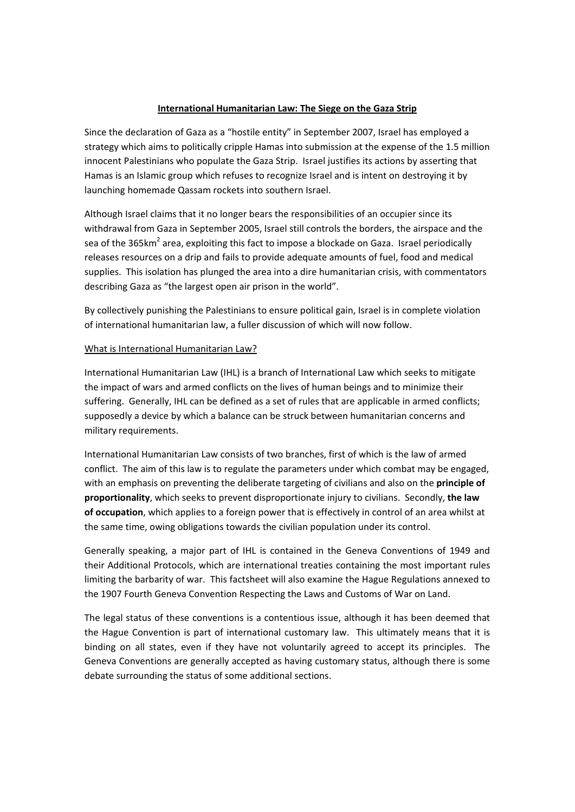### **International Humanitarian Law: The Siege on the Gaza Strip**

Since the declaration of Gaza as a "hostile entity" in September 2007, Israel has employed a strategy which aims to politically cripple Hamas into submission at the expense of the 1.5 million innocent Palestinians who populate the Gaza Strip. Israel justifies its actions by asserting that Hamas is an Islamic group which refuses to recognize Israel and is intent on destroying it by launching homemade Qassam rockets into southern Israel.

Although Israel claims that it no longer bears the responsibilities of an occupier since its withdrawal from Gaza in September 2005, Israel still controls the borders, the airspace and the sea of the 365km<sup>2</sup> area, exploiting this fact to impose a blockade on Gaza. Israel periodically releases resources on a drip and fails to provide adequate amounts of fuel, food and medical supplies. This isolation has plunged the area into a dire humanitarian crisis, with commentators describing Gaza as "the largest open air prison in the world".

By collectively punishing the Palestinians to ensure political gain, Israel is in complete violation of international humanitarian law, a fuller discussion of which will now follow.

#### What is International Humanitarian Law?

International Humanitarian Law (IHL) is a branch of International Law which seeks to mitigate the impact of wars and armed conflicts on the lives of human beings and to minimize their suffering. Generally, IHL can be defined as a set of rules that are applicable in armed conflicts; supposedly a device by which a balance can be struck between humanitarian concerns and military requirements.

International Humanitarian Law consists of two branches, first of which is the law of armed conflict. The aim of this law is to regulate the parameters under which combat may be engaged, with an emphasis on preventing the deliberate targeting of civilians and also on the **principle of proportionality**, which seeks to prevent disproportionate injury to civilians. Secondly, **the law of occupation**, which applies to a foreign power that is effectively in control of an area whilst at the same time, owing obligations towards the civilian population under its control.

Generally speaking, a major part of IHL is contained in the Geneva Conventions of 1949 and their Additional Protocols, which are international treaties containing the most important rules limiting the barbarity of war. This factsheet will also examine the Hague Regulations annexed to the 1907 Fourth Geneva Convention Respecting the Laws and Customs of War on Land.

The legal status of these conventions is a contentious issue, although it has been deemed that the Hague Convention is part of international customary law. This ultimately means that it is binding on all states, even if they have not voluntarily agreed to accept its principles. The Geneva Conventions are generally accepted as having customary status, although there is some debate surrounding the status of some additional sections.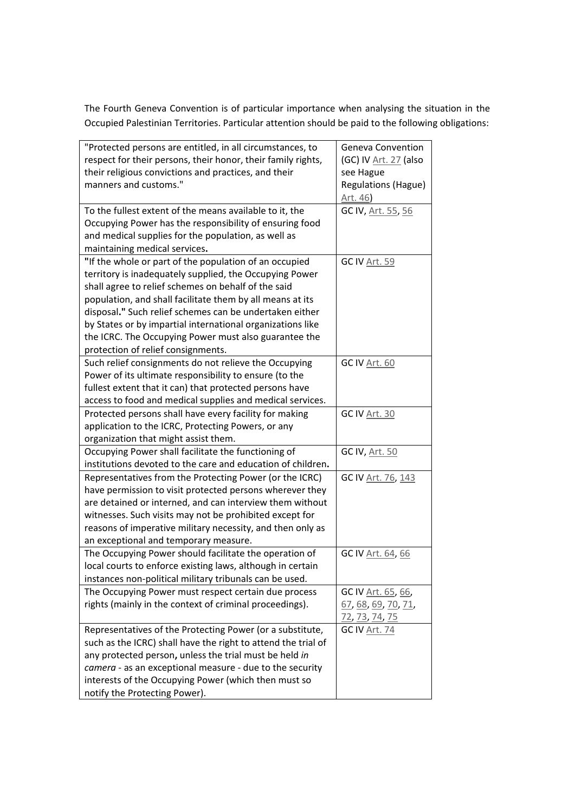The Fourth Geneva Convention is of particular importance when analysing the situation in the Occupied Palestinian Territories. Particular attention should be paid to the following obligations:

| "Protected persons are entitled, in all circumstances, to     | Geneva Convention           |
|---------------------------------------------------------------|-----------------------------|
| respect for their persons, their honor, their family rights,  | (GC) IV Art. 27 (also       |
| their religious convictions and practices, and their          | see Hague                   |
| manners and customs."                                         | <b>Regulations (Hague)</b>  |
|                                                               | Art. 46)                    |
| To the fullest extent of the means available to it, the       | GC IV, Art. 55, 56          |
| Occupying Power has the responsibility of ensuring food       |                             |
| and medical supplies for the population, as well as           |                             |
| maintaining medical services.                                 |                             |
| "If the whole or part of the population of an occupied        | <b>GC IV Art. 59</b>        |
| territory is inadequately supplied, the Occupying Power       |                             |
| shall agree to relief schemes on behalf of the said           |                             |
| population, and shall facilitate them by all means at its     |                             |
| disposal." Such relief schemes can be undertaken either       |                             |
| by States or by impartial international organizations like    |                             |
| the ICRC. The Occupying Power must also guarantee the         |                             |
| protection of relief consignments.                            |                             |
| Such relief consignments do not relieve the Occupying         | GC IV Art. 60               |
| Power of its ultimate responsibility to ensure (to the        |                             |
| fullest extent that it can) that protected persons have       |                             |
| access to food and medical supplies and medical services.     |                             |
| Protected persons shall have every facility for making        | <b>GC IV Art. 30</b>        |
| application to the ICRC, Protecting Powers, or any            |                             |
| organization that might assist them.                          |                             |
| Occupying Power shall facilitate the functioning of           | <b>GC IV, Art. 50</b>       |
| institutions devoted to the care and education of children.   |                             |
| Representatives from the Protecting Power (or the ICRC)       | GC IV Art. 76, 143          |
| have permission to visit protected persons wherever they      |                             |
| are detained or interned, and can interview them without      |                             |
| witnesses. Such visits may not be prohibited except for       |                             |
| reasons of imperative military necessity, and then only as    |                             |
| an exceptional and temporary measure.                         |                             |
| The Occupying Power should facilitate the operation of        | GC IV Art. 64, 66           |
| local courts to enforce existing laws, although in certain    |                             |
| instances non-political military tribunals can be used.       |                             |
| The Occupying Power must respect certain due process          | GC IV Art. 65, 66,          |
| rights (mainly in the context of criminal proceedings).       | <u>67, 68, 69, 70, 71, </u> |
|                                                               | 72, 73, 74, 75              |
| Representatives of the Protecting Power (or a substitute,     | <b>GC IV Art. 74</b>        |
| such as the ICRC) shall have the right to attend the trial of |                             |
| any protected person, unless the trial must be held in        |                             |
| camera - as an exceptional measure - due to the security      |                             |
| interests of the Occupying Power (which then must so          |                             |
| notify the Protecting Power).                                 |                             |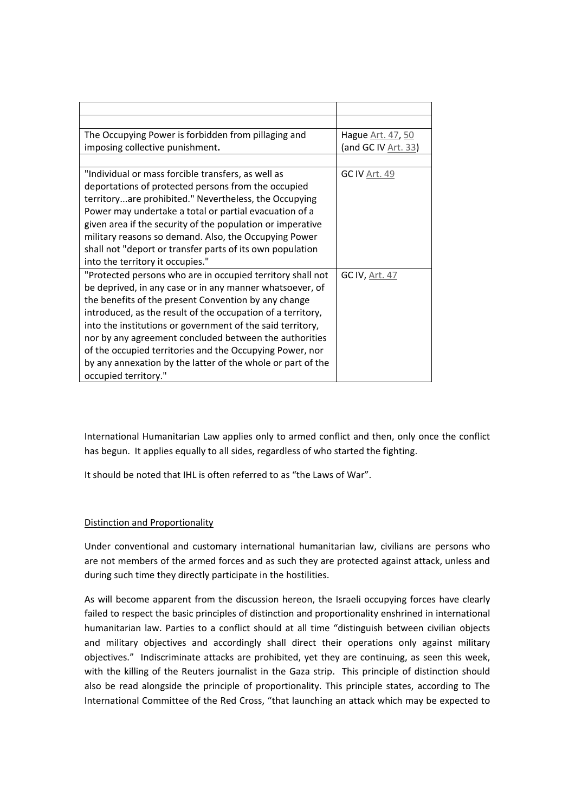| The Occupying Power is forbidden from pillaging and         | Hague Art. 47, 50    |
|-------------------------------------------------------------|----------------------|
| imposing collective punishment.                             | (and GC IV Art. 33)  |
|                                                             |                      |
| "Individual or mass forcible transfers, as well as          | <b>GC IV Art. 49</b> |
| deportations of protected persons from the occupied         |                      |
| territoryare prohibited." Nevertheless, the Occupying       |                      |
| Power may undertake a total or partial evacuation of a      |                      |
| given area if the security of the population or imperative  |                      |
| military reasons so demand. Also, the Occupying Power       |                      |
| shall not "deport or transfer parts of its own population   |                      |
| into the territory it occupies."                            |                      |
| "Protected persons who are in occupied territory shall not  | GC IV, Art. 47       |
| be deprived, in any case or in any manner whatsoever, of    |                      |
| the benefits of the present Convention by any change        |                      |
| introduced, as the result of the occupation of a territory, |                      |
| into the institutions or government of the said territory,  |                      |
| nor by any agreement concluded between the authorities      |                      |
| of the occupied territories and the Occupying Power, nor    |                      |
| by any annexation by the latter of the whole or part of the |                      |
| occupied territory."                                        |                      |

International Humanitarian Law applies only to armed conflict and then, only once the conflict has begun. It applies equally to all sides, regardless of who started the fighting.

It should be noted that IHL is often referred to as "the Laws of War".

# Distinction and Proportionality

Under conventional and customary international humanitarian law, civilians are persons who are not members of the armed forces and as such they are protected against attack, unless and during such time they directly participate in the hostilities.

As will become apparent from the discussion hereon, the Israeli occupying forces have clearly failed to respect the basic principles of distinction and proportionality enshrined in international humanitarian law. Parties to a conflict should at all time "distinguish between civilian objects and military objectives and accordingly shall direct their operations only against military objectives." Indiscriminate attacks are prohibited, yet they are continuing, as seen this week, with the killing of the Reuters journalist in the Gaza strip. This principle of distinction should also be read alongside the principle of proportionality. This principle states, according to The International Committee of the Red Cross, "that launching an attack which may be expected to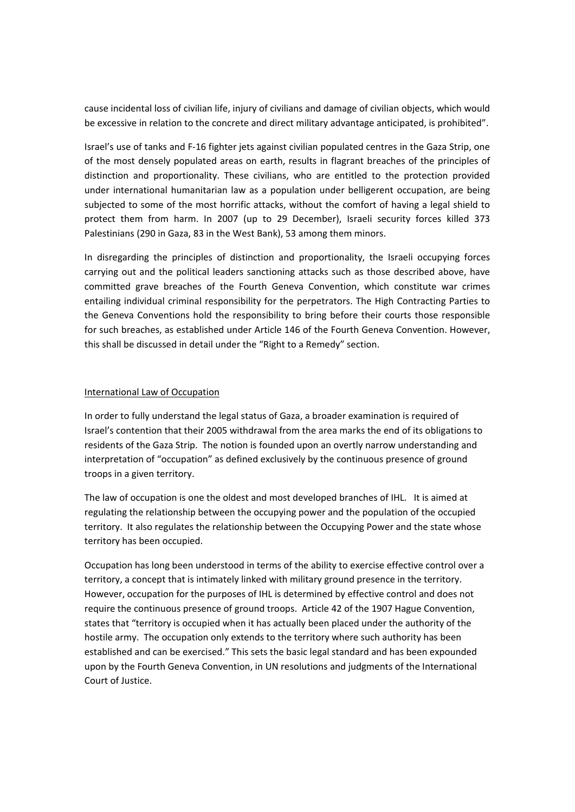cause incidental loss of civilian life, injury of civilians and damage of civilian objects, which would be excessive in relation to the concrete and direct military advantage anticipated, is prohibited".

Israel's use of tanks and F‐16 fighter jets against civilian populated centres in the Gaza Strip, one of the most densely populated areas on earth, results in flagrant breaches of the principles of distinction and proportionality. These civilians, who are entitled to the protection provided under international humanitarian law as a population under belligerent occupation, are being subjected to some of the most horrific attacks, without the comfort of having a legal shield to protect them from harm. In 2007 (up to 29 December), Israeli security forces killed 373 Palestinians (290 in Gaza, 83 in the West Bank), 53 among them minors.

In disregarding the principles of distinction and proportionality, the Israeli occupying forces carrying out and the political leaders sanctioning attacks such as those described above, have committed grave breaches of the Fourth Geneva Convention, which constitute war crimes entailing individual criminal responsibility for the perpetrators. The High Contracting Parties to the Geneva Conventions hold the responsibility to bring before their courts those responsible for such breaches, as established under Article 146 of the Fourth Geneva Convention. However, this shall be discussed in detail under the "Right to a Remedy" section.

#### International Law of Occupation

In order to fully understand the legal status of Gaza, a broader examination is required of Israel's contention that their 2005 withdrawal from the area marks the end of its obligations to residents of the Gaza Strip. The notion is founded upon an overtly narrow understanding and interpretation of "occupation" as defined exclusively by the continuous presence of ground troops in a given territory.

The law of occupation is one the oldest and most developed branches of IHL. It is aimed at regulating the relationship between the occupying power and the population of the occupied territory. It also regulates the relationship between the Occupying Power and the state whose territory has been occupied.

Occupation has long been understood in terms of the ability to exercise effective control over a territory, a concept that is intimately linked with military ground presence in the territory. However, occupation for the purposes of IHL is determined by effective control and does not require the continuous presence of ground troops. Article 42 of the 1907 Hague Convention, states that "territory is occupied when it has actually been placed under the authority of the hostile army. The occupation only extends to the territory where such authority has been established and can be exercised." This sets the basic legal standard and has been expounded upon by the Fourth Geneva Convention, in UN resolutions and judgments of the International Court of Justice.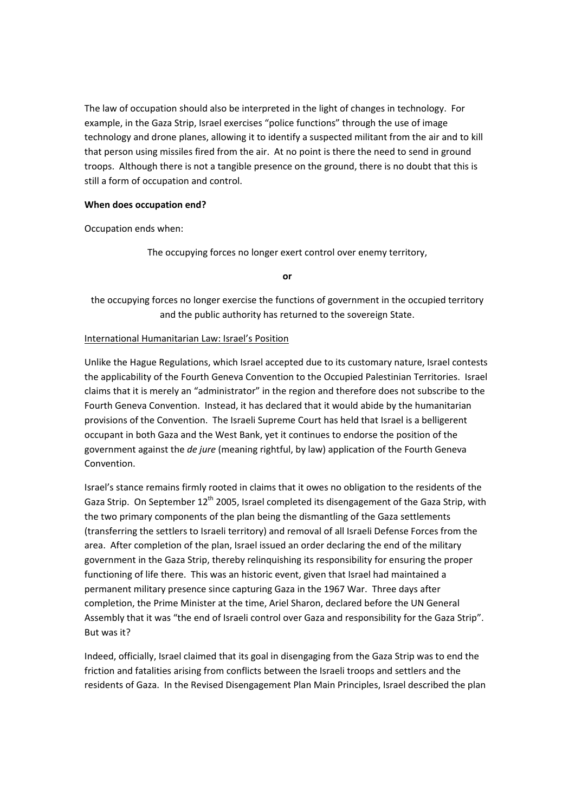The law of occupation should also be interpreted in the light of changes in technology. For example, in the Gaza Strip, Israel exercises "police functions" through the use of image technology and drone planes, allowing it to identify a suspected militant from the air and to kill that person using missiles fired from the air. At no point is there the need to send in ground troops. Although there is not a tangible presence on the ground, there is no doubt that this is still a form of occupation and control.

#### **When does occupation end?**

Occupation ends when:

The occupying forces no longer exert control over enemy territory,

**or**

the occupying forces no longer exercise the functions of government in the occupied territory and the public authority has returned to the sovereign State.

#### International Humanitarian Law: Israel's Position

Unlike the Hague Regulations, which Israel accepted due to its customary nature, Israel contests the applicability of the Fourth Geneva Convention to the Occupied Palestinian Territories. Israel claims that it is merely an "administrator" in the region and therefore does not subscribe to the Fourth Geneva Convention. Instead, it has declared that it would abide by the humanitarian provisions of the Convention. The Israeli Supreme Court has held that Israel is a belligerent occupant in both Gaza and the West Bank, yet it continues to endorse the position of the government against the *de jure* (meaning rightful, by law) application of the Fourth Geneva Convention.

Israel's stance remains firmly rooted in claims that it owes no obligation to the residents of the Gaza Strip. On September 12<sup>th</sup> 2005, Israel completed its disengagement of the Gaza Strip, with the two primary components of the plan being the dismantling of the Gaza settlements (transferring the settlers to Israeli territory) and removal of all Israeli Defense Forces from the area. After completion of the plan, Israel issued an order declaring the end of the military government in the Gaza Strip, thereby relinquishing its responsibility for ensuring the proper functioning of life there. This was an historic event, given that Israel had maintained a permanent military presence since capturing Gaza in the 1967 War. Three days after completion, the Prime Minister at the time, Ariel Sharon, declared before the UN General Assembly that it was "the end of Israeli control over Gaza and responsibility for the Gaza Strip". But was it?

Indeed, officially, Israel claimed that its goal in disengaging from the Gaza Strip was to end the friction and fatalities arising from conflicts between the Israeli troops and settlers and the residents of Gaza. In the Revised Disengagement Plan Main Principles, Israel described the plan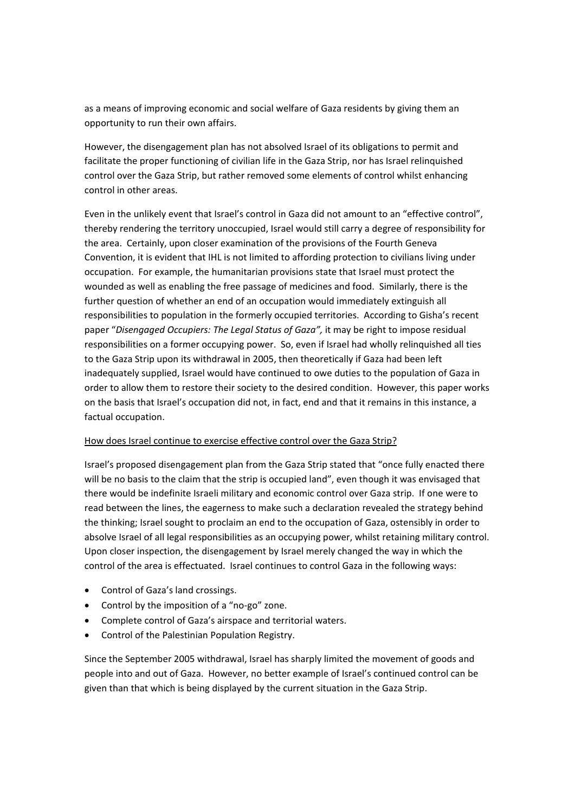as a means of improving economic and social welfare of Gaza residents by giving them an opportunity to run their own affairs.

However, the disengagement plan has not absolved Israel of its obligations to permit and facilitate the proper functioning of civilian life in the Gaza Strip, nor has Israel relinquished control over the Gaza Strip, but rather removed some elements of control whilst enhancing control in other areas.

Even in the unlikely event that Israel's control in Gaza did not amount to an "effective control", thereby rendering the territory unoccupied, Israel would still carry a degree of responsibility for the area. Certainly, upon closer examination of the provisions of the Fourth Geneva Convention, it is evident that IHL is not limited to affording protection to civilians living under occupation. For example, the humanitarian provisions state that Israel must protect the wounded as well as enabling the free passage of medicines and food. Similarly, there is the further question of whether an end of an occupation would immediately extinguish all responsibilities to population in the formerly occupied territories. According to Gisha's recent paper "*Disengaged Occupiers: The Legal Status of Gaza",* it may be right to impose residual responsibilities on a former occupying power. So, even if Israel had wholly relinquished all ties to the Gaza Strip upon its withdrawal in 2005, then theoretically if Gaza had been left inadequately supplied, Israel would have continued to owe duties to the population of Gaza in order to allow them to restore their society to the desired condition. However, this paper works on the basis that Israel's occupation did not, in fact, end and that it remains in this instance, a factual occupation.

# How does Israel continue to exercise effective control over the Gaza Strip?

Israel's proposed disengagement plan from the Gaza Strip stated that "once fully enacted there will be no basis to the claim that the strip is occupied land", even though it was envisaged that there would be indefinite Israeli military and economic control over Gaza strip. If one were to read between the lines, the eagerness to make such a declaration revealed the strategy behind the thinking; Israel sought to proclaim an end to the occupation of Gaza, ostensibly in order to absolve Israel of all legal responsibilities as an occupying power, whilst retaining military control. Upon closer inspection, the disengagement by Israel merely changed the way in which the control of the area is effectuated. Israel continues to control Gaza in the following ways:

- Control of Gaza's land crossings.
- Control by the imposition of a "no‐go" zone.
- Complete control of Gaza's airspace and territorial waters.
- Control of the Palestinian Population Registry.

Since the September 2005 withdrawal, Israel has sharply limited the movement of goods and people into and out of Gaza. However, no better example of Israel's continued control can be given than that which is being displayed by the current situation in the Gaza Strip.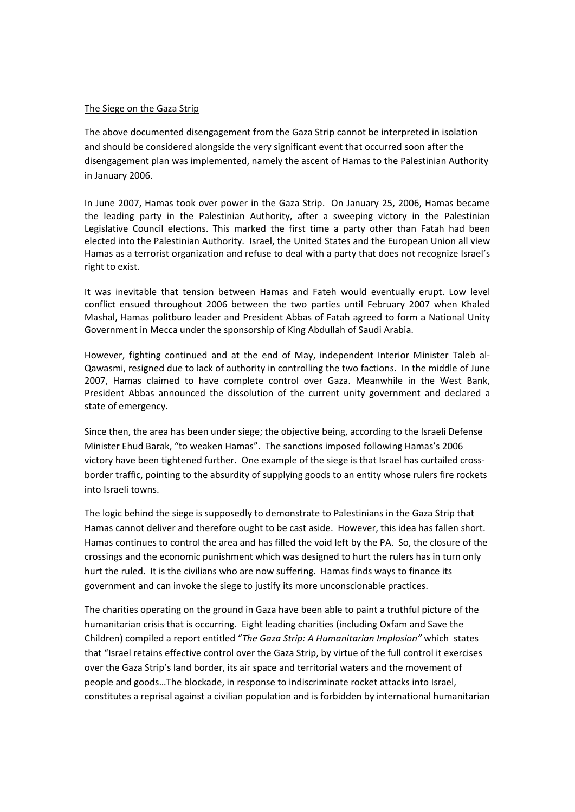#### The Siege on the Gaza Strip

The above documented disengagement from the Gaza Strip cannot be interpreted in isolation and should be considered alongside the very significant event that occurred soon after the disengagement plan was implemented, namely the ascent of Hamas to the Palestinian Authority in January 2006.

In June 2007, Hamas took over power in the Gaza Strip. On January 25, 2006, Hamas became the leading party in the Palestinian Authority, after a sweeping victory in the Palestinian Legislative Council elections. This marked the first time a party other than Fatah had been elected into the Palestinian Authority. Israel, the United States and the European Union all view Hamas as a terrorist organization and refuse to deal with a party that does not recognize Israel's right to exist.

It was inevitable that tension between Hamas and Fateh would eventually erupt. Low level conflict ensued throughout 2006 between the two parties until February 2007 when Khaled Mashal, Hamas politburo leader and President Abbas of Fatah agreed to form a National Unity Government in Mecca under the sponsorship of King Abdullah of Saudi Arabia.

However, fighting continued and at the end of May, independent Interior Minister Taleb al‐ Qawasmi, resigned due to lack of authority in controlling the two factions. In the middle of June 2007, Hamas claimed to have complete control over Gaza. Meanwhile in the West Bank, President Abbas announced the dissolution of the current unity government and declared a state of emergency.

Since then, the area has been under siege; the objective being, according to the Israeli Defense Minister Ehud Barak, "to weaken Hamas". The sanctions imposed following Hamas's 2006 victory have been tightened further. One example of the siege is that Israel has curtailed cross‐ border traffic, pointing to the absurdity of supplying goods to an entity whose rulers fire rockets into Israeli towns.

The logic behind the siege is supposedly to demonstrate to Palestinians in the Gaza Strip that Hamas cannot deliver and therefore ought to be cast aside. However, this idea has fallen short. Hamas continues to control the area and has filled the void left by the PA. So, the closure of the crossings and the economic punishment which was designed to hurt the rulers has in turn only hurt the ruled. It is the civilians who are now suffering. Hamas finds ways to finance its government and can invoke the siege to justify its more unconscionable practices.

The charities operating on the ground in Gaza have been able to paint a truthful picture of the humanitarian crisis that is occurring. Eight leading charities (including Oxfam and Save the Children) compiled a report entitled "*The Gaza Strip: A Humanitarian Implosion"* which states that "Israel retains effective control over the Gaza Strip, by virtue of the full control it exercises over the Gaza Strip's land border, its air space and territorial waters and the movement of people and goods…The blockade, in response to indiscriminate rocket attacks into Israel, constitutes a reprisal against a civilian population and is forbidden by international humanitarian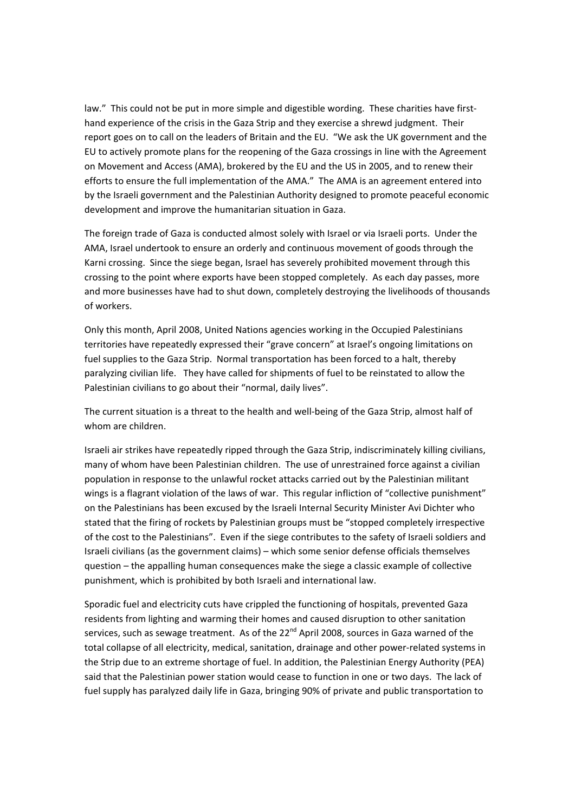law." This could not be put in more simple and digestible wording. These charities have firsthand experience of the crisis in the Gaza Strip and they exercise a shrewd judgment. Their report goes on to call on the leaders of Britain and the EU. "We ask the UK government and the EU to actively promote plans for the reopening of the Gaza crossings in line with the Agreement on Movement and Access (AMA), brokered by the EU and the US in 2005, and to renew their efforts to ensure the full implementation of the AMA." The AMA is an agreement entered into by the Israeli government and the Palestinian Authority designed to promote peaceful economic development and improve the humanitarian situation in Gaza.

The foreign trade of Gaza is conducted almost solely with Israel or via Israeli ports. Under the AMA, Israel undertook to ensure an orderly and continuous movement of goods through the Karni crossing. Since the siege began, Israel has severely prohibited movement through this crossing to the point where exports have been stopped completely. As each day passes, more and more businesses have had to shut down, completely destroying the livelihoods of thousands of workers.

Only this month, April 2008, United Nations agencies working in the Occupied Palestinians territories have repeatedly expressed their "grave concern" at Israel's ongoing limitations on fuel supplies to the Gaza Strip. Normal transportation has been forced to a halt, thereby paralyzing civilian life. They have called for shipments of fuel to be reinstated to allow the Palestinian civilians to go about their "normal, daily lives".

The current situation is a threat to the health and well‐being of the Gaza Strip, almost half of whom are children.

Israeli air strikes have repeatedly ripped through the Gaza Strip, indiscriminately killing civilians, many of whom have been Palestinian children. The use of unrestrained force against a civilian population in response to the unlawful rocket attacks carried out by the Palestinian militant wings is a flagrant violation of the laws of war. This regular infliction of "collective punishment" on the Palestinians has been excused by the Israeli Internal Security Minister Avi Dichter who stated that the firing of rockets by Palestinian groups must be "stopped completely irrespective of the cost to the Palestinians". Even if the siege contributes to the safety of Israeli soldiers and Israeli civilians (as the government claims) – which some senior defense officials themselves question – the appalling human consequences make the siege a classic example of collective punishment, which is prohibited by both Israeli and international law.

Sporadic fuel and electricity cuts have crippled the functioning of hospitals, prevented Gaza residents from lighting and warming their homes and caused disruption to other sanitation services, such as sewage treatment. As of the 22<sup>nd</sup> April 2008, sources in Gaza warned of the total collapse of all electricity, medical, sanitation, drainage and other power‐related systems in the Strip due to an extreme shortage of fuel. In addition, the Palestinian Energy Authority (PEA) said that the Palestinian power station would cease to function in one or two days. The lack of fuel supply has paralyzed daily life in Gaza, bringing 90% of private and public transportation to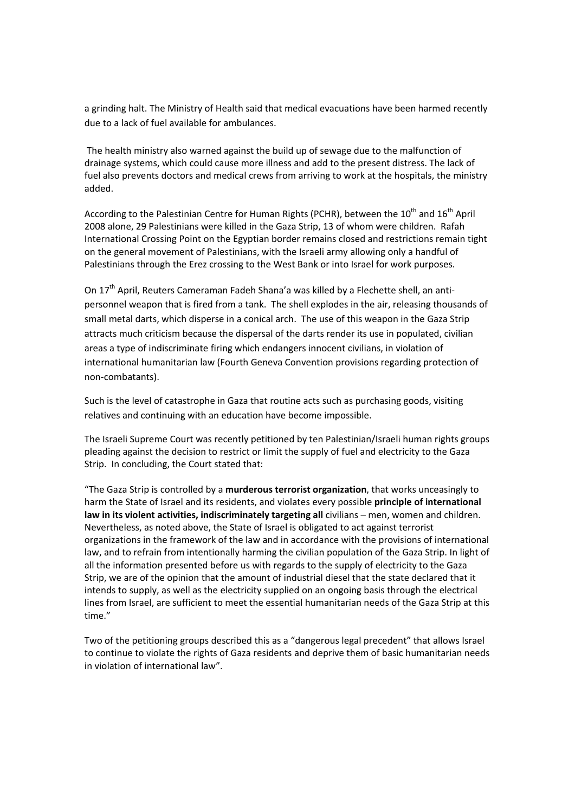a grinding halt. The Ministry of Health said that medical evacuations have been harmed recently due to a lack of fuel available for ambulances.

The health ministry also warned against the build up of sewage due to the malfunction of drainage systems, which could cause more illness and add to the present distress. The lack of fuel also prevents doctors and medical crews from arriving to work at the hospitals, the ministry added.

According to the Palestinian Centre for Human Rights (PCHR), between the 10<sup>th</sup> and 16<sup>th</sup> April 2008 alone, 29 Palestinians were killed in the Gaza Strip, 13 of whom were children. Rafah International Crossing Point on the Egyptian border remains closed and restrictions remain tight on the general movement of Palestinians, with the Israeli army allowing only a handful of Palestinians through the Erez crossing to the West Bank or into Israel for work purposes.

On 17<sup>th</sup> April, Reuters Cameraman Fadeh Shana'a was killed by a Flechette shell, an antipersonnel weapon that is fired from a tank. The shell explodes in the air, releasing thousands of small metal darts, which disperse in a conical arch. The use of this weapon in the Gaza Strip attracts much criticism because the dispersal of the darts render its use in populated, civilian areas a type of indiscriminate firing which endangers innocent civilians, in violation of international humanitarian law (Fourth Geneva Convention provisions regarding protection of non‐combatants).

Such is the level of catastrophe in Gaza that routine acts such as purchasing goods, visiting relatives and continuing with an education have become impossible.

The Israeli Supreme Court was recently petitioned by ten Palestinian/Israeli human rights groups pleading against the decision to restrict or limit the supply of fuel and electricity to the Gaza Strip. In concluding, the Court stated that:

"The Gaza Strip is controlled by a **murderous terrorist organization**, that works unceasingly to harm the State of Israel and its residents, and violates every possible **principle of international law in its violent activities, indiscriminately targeting all** civilians – men, women and children. Nevertheless, as noted above, the State of Israel is obligated to act against terrorist organizations in the framework of the law and in accordance with the provisions of international law, and to refrain from intentionally harming the civilian population of the Gaza Strip. In light of all the information presented before us with regards to the supply of electricity to the Gaza Strip, we are of the opinion that the amount of industrial diesel that the state declared that it intends to supply, as well as the electricity supplied on an ongoing basis through the electrical lines from Israel, are sufficient to meet the essential humanitarian needs of the Gaza Strip at this time."

Two of the petitioning groups described this as a "dangerous legal precedent" that allows Israel to continue to violate the rights of Gaza residents and deprive them of basic humanitarian needs in violation of international law".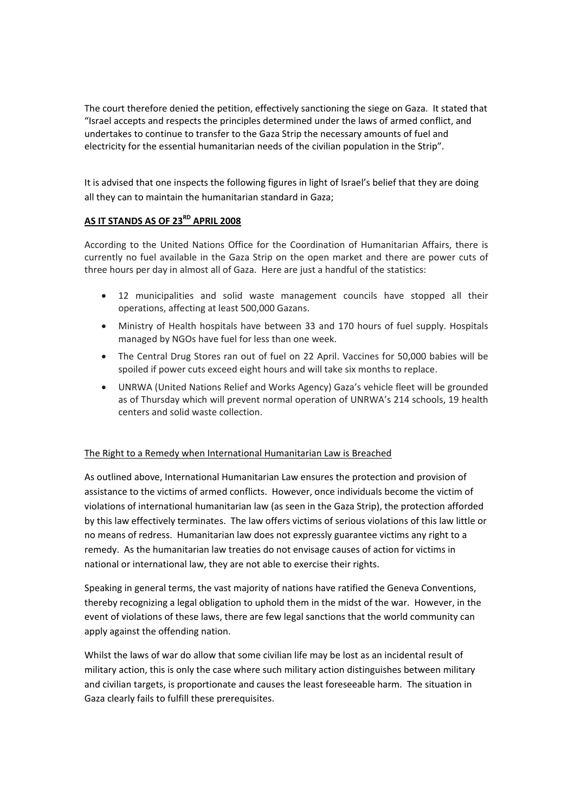The court therefore denied the petition, effectively sanctioning the siege on Gaza. It stated that "Israel accepts and respects the principles determined under the laws of armed conflict, and undertakes to continue to transfer to the Gaza Strip the necessary amounts of fuel and electricity for the essential humanitarian needs of the civilian population in the Strip".

It is advised that one inspects the following figures in light of Israel's belief that they are doing all they can to maintain the humanitarian standard in Gaza;

# **AS IT STANDS AS OF 23RD APRIL 2008**

According to the United Nations Office for the Coordination of Humanitarian Affairs, there is currently no fuel available in the Gaza Strip on the open market and there are power cuts of three hours per day in almost all of Gaza. Here are just a handful of the statistics:

- 12 municipalities and solid waste management councils have stopped all their operations, affecting at least 500,000 Gazans.
- Ministry of Health hospitals have between 33 and 170 hours of fuel supply. Hospitals managed by NGOs have fuel for less than one week.
- The Central Drug Stores ran out of fuel on 22 April. Vaccines for 50,000 babies will be spoiled if power cuts exceed eight hours and will take six months to replace.
- UNRWA (United Nations Relief and Works Agency) Gaza's vehicle fleet will be grounded as of Thursday which will prevent normal operation of UNRWA's 214 schools, 19 health centers and solid waste collection.

# The Right to a Remedy when International Humanitarian Law is Breached

As outlined above, International Humanitarian Law ensures the protection and provision of assistance to the victims of armed conflicts. However, once individuals become the victim of violations of international humanitarian law (as seen in the Gaza Strip), the protection afforded by this law effectively terminates. The law offers victims of serious violations of this law little or no means of redress. Humanitarian law does not expressly guarantee victims any right to a remedy. As the humanitarian law treaties do not envisage causes of action for victims in national or international law, they are not able to exercise their rights.

Speaking in general terms, the vast majority of nations have ratified the Geneva Conventions, thereby recognizing a legal obligation to uphold them in the midst of the war. However, in the event of violations of these laws, there are few legal sanctions that the world community can apply against the offending nation.

Whilst the laws of war do allow that some civilian life may be lost as an incidental result of military action, this is only the case where such military action distinguishes between military and civilian targets, is proportionate and causes the least foreseeable harm. The situation in Gaza clearly fails to fulfill these prerequisites.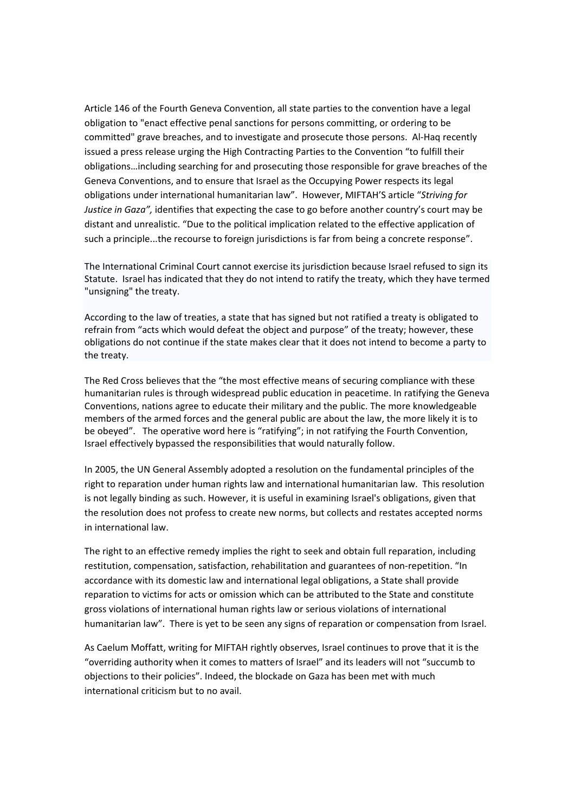Article 146 of the Fourth Geneva Convention, all state parties to the convention have a legal obligation to "enact effective penal sanctions for persons committing, or ordering to be committed" grave breaches, and to investigate and prosecute those persons. Al‐Haq recently issued a press release urging the High Contracting Parties to the Convention "to fulfill their obligations…including searching for and prosecuting those responsible for grave breaches of the Geneva Conventions, and to ensure that Israel as the Occupying Power respects its legal obligations under international humanitarian law". However, MIFTAH'S article "*Striving for Justice in Gaza",* identifies that expecting the case to go before another country's court may be distant and unrealistic. "Due to the political implication related to the effective application of such a principle...the recourse to foreign jurisdictions is far from being a concrete response".

The International Criminal Court cannot exercise its jurisdiction because Israel refused to sign its Statute. Israel has indicated that they do not intend to ratify the treaty, which they have termed "unsigning" the treaty.

According to the law of treaties, a state that has signed but not ratified a treaty is obligated to refrain from "acts which would defeat the object and purpose" of the treaty; however, these obligations do not continue if the state makes clear that it does not intend to become a party to the treaty.

The Red Cross believes that the "the most effective means of securing compliance with these humanitarian rules is through widespread public education in peacetime. In ratifying the Geneva Conventions, nations agree to educate their military and the public. The more knowledgeable members of the armed forces and the general public are about the law, the more likely it is to be obeyed". The operative word here is "ratifying"; in not ratifying the Fourth Convention, Israel effectively bypassed the responsibilities that would naturally follow.

In 2005, the UN General Assembly adopted a resolution on the fundamental principles of the right to reparation under human rights law and international humanitarian law. This resolution is not legally binding as such. However, it is useful in examining Israel's obligations, given that the resolution does not profess to create new norms, but collects and restates accepted norms in international law.

The right to an effective remedy implies the right to seek and obtain full reparation, including restitution, compensation, satisfaction, rehabilitation and guarantees of non‐repetition. "In accordance with its domestic law and international legal obligations, a State shall provide reparation to victims for acts or omission which can be attributed to the State and constitute gross violations of international human rights law or serious violations of international humanitarian law". There is yet to be seen any signs of reparation or compensation from Israel.

As Caelum Moffatt, writing for MIFTAH rightly observes, Israel continues to prove that it is the "overriding authority when it comes to matters of Israel" and its leaders will not "succumb to objections to their policies". Indeed, the blockade on Gaza has been met with much international criticism but to no avail.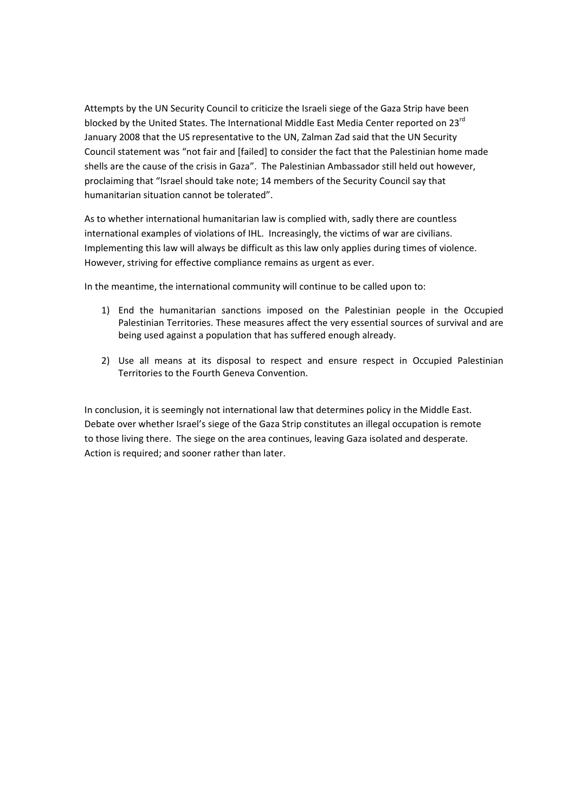Attempts by the UN Security Council to criticize the Israeli siege of the Gaza Strip have been blocked by the United States. The International Middle East Media Center reported on 23<sup>rd</sup> January 2008 that the US representative to the UN, Zalman Zad said that the UN Security Council statement was "not fair and [failed] to consider the fact that the Palestinian home made shells are the cause of the crisis in Gaza". The Palestinian Ambassador still held out however, proclaiming that "Israel should take note; 14 members of the Security Council say that humanitarian situation cannot be tolerated".

As to whether international humanitarian law is complied with, sadly there are countless international examples of violations of IHL. Increasingly, the victims of war are civilians. Implementing this law will always be difficult as this law only applies during times of violence. However, striving for effective compliance remains as urgent as ever.

In the meantime, the international community will continue to be called upon to:

- 1) End the humanitarian sanctions imposed on the Palestinian people in the Occupied Palestinian Territories. These measures affect the very essential sources of survival and are being used against a population that has suffered enough already.
- 2) Use all means at its disposal to respect and ensure respect in Occupied Palestinian Territories to the Fourth Geneva Convention.

In conclusion, it is seemingly not international law that determines policy in the Middle East. Debate over whether Israel's siege of the Gaza Strip constitutes an illegal occupation is remote to those living there. The siege on the area continues, leaving Gaza isolated and desperate. Action is required; and sooner rather than later.